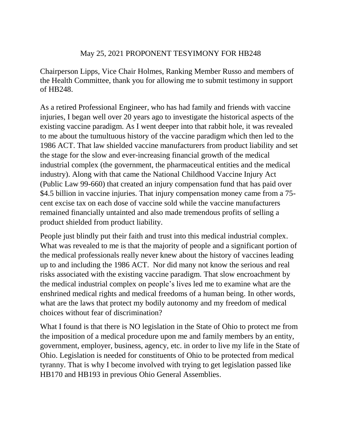## May 25, 2021 PROPONENT TESYIMONY FOR HB248

Chairperson Lipps, Vice Chair Holmes, Ranking Member Russo and members of the Health Committee, thank you for allowing me to submit testimony in support of HB248.

As a retired Professional Engineer, who has had family and friends with vaccine injuries, I began well over 20 years ago to investigate the historical aspects of the existing vaccine paradigm. As I went deeper into that rabbit hole, it was revealed to me about the tumultuous history of the vaccine paradigm which then led to the 1986 ACT. That law shielded vaccine manufacturers from product liability and set the stage for the slow and ever-increasing financial growth of the medical industrial complex (the government, the pharmaceutical entities and the medical industry). Along with that came the National Childhood Vaccine Injury Act (Public Law 99-660) that created an injury compensation fund that has paid over \$4.5 billion in vaccine injuries. That injury compensation money came from a 75cent excise tax on each dose of vaccine sold while the vaccine manufacturers remained financially untainted and also made tremendous profits of selling a product shielded from product liability.

People just blindly put their faith and trust into this medical industrial complex. What was revealed to me is that the majority of people and a significant portion of the medical professionals really never knew about the history of vaccines leading up to and including the 1986 ACT. Nor did many not know the serious and real risks associated with the existing vaccine paradigm. That slow encroachment by the medical industrial complex on people's lives led me to examine what are the enshrined medical rights and medical freedoms of a human being. In other words, what are the laws that protect my bodily autonomy and my freedom of medical choices without fear of discrimination?

What I found is that there is NO legislation in the State of Ohio to protect me from the imposition of a medical procedure upon me and family members by an entity, government, employer, business, agency, etc. in order to live my life in the State of Ohio. Legislation is needed for constituents of Ohio to be protected from medical tyranny. That is why I become involved with trying to get legislation passed like HB170 and HB193 in previous Ohio General Assemblies.